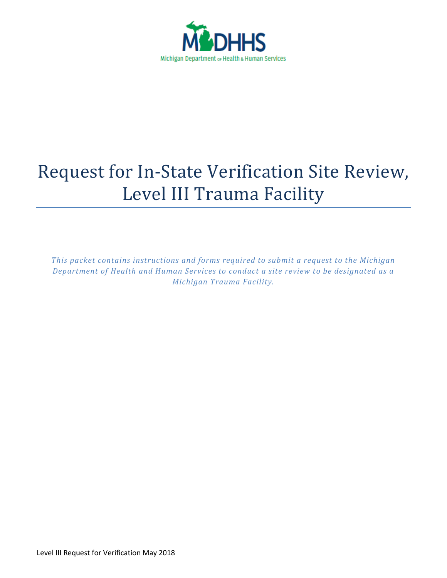

# Request for In-State Verification Site Review, Level III Trauma Facility

*This packet contains instructions and forms required to submit a request to the Michigan Department of Health and Human Services to conduct a site review to be designated as a Michigan Trauma Facility.*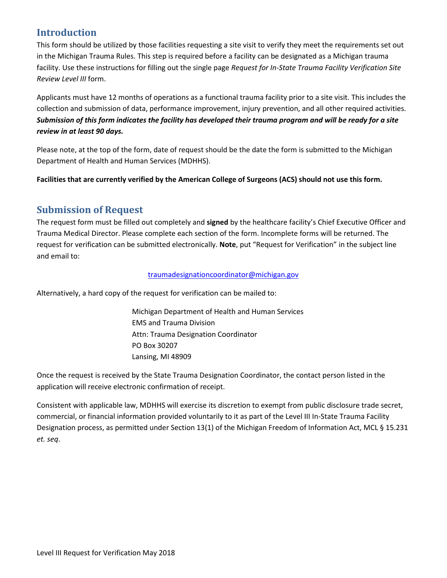## **Introduction**

This form should be utilized by those facilities requesting a site visit to verify they meet the requirements set out in the Michigan Trauma Rules. This step is required before a facility can be designated as a Michigan trauma facility. Use these instructions for filling out the single page *Request for In-State Trauma Facility Verification Site Review Level III* form.

Applicants must have 12 months of operations as a functional trauma facility prior to a site visit. This includes the collection and submission of data, performance improvement, injury prevention, and all other required activities. *Submission of this form indicates the facility has developed their trauma program and will be ready for a site review in at least 90 days.*

Please note, at the top of the form, date of request should be the date the form is submitted to the Michigan Department of Health and Human Services (MDHHS).

**Facilities that are currently verified by the American College of Surgeons (ACS) should not use this form.**

## **Submission of Request**

The request form must be filled out completely and **signed** by the healthcare facility's Chief Executive Officer and Trauma Medical Director. Please complete each section of the form. Incomplete forms will be returned. The request for verification can be submitted electronically. **Note**, put "Request for Verification" in the subject line and email to:

### [traumadesignationcoordinator@michigan.gov](mailto:traumadesignationcoordinator@michigan.gov)

Alternatively, a hard copy of the request for verification can be mailed to:

Michigan Department of Health and Human Services EMS and Trauma Division Attn: Trauma Designation Coordinator PO Box 30207 Lansing, MI 48909

Once the request is received by the State Trauma Designation Coordinator, the contact person listed in the application will receive electronic confirmation of receipt.

Consistent with applicable law, MDHHS will exercise its discretion to exempt from public disclosure trade secret, commercial, or financial information provided voluntarily to it as part of the Level III In-State Trauma Facility Designation process, as permitted under Section 13(1) of the Michigan Freedom of Information Act, MCL § 15.231 *et. seq*.